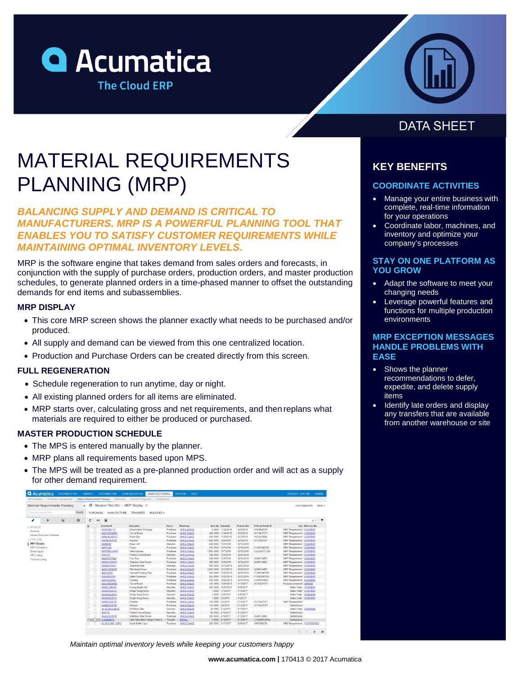



# MATERIAL REQUIREMENTS PLANNING (MRP)

## *BALANCING SUPPLY AND DEMAND IS CRITICAL TO MANUFACTURERS. MRP IS A POWERFUL PLANNING TOOL THAT ENABLES YOU TO SATISFY CUSTOMER REQUIREMENTS WHILE MAINTAINING OPTIMAL INVENTORY LEVELS.*

MRP is the software engine that takes demand from sales orders and forecasts, in conjunction with the supply of purchase orders, production orders, and master production schedules, to generate planned orders in a time-phased manner to offset the outstanding demands for end items and subassemblies.

### **MRP DISPLAY**

- This core MRP screen shows the planner exactly what needs to be purchased and/or produced.
- All supply and demand can be viewed from this one centralized location.
- Production and Purchase Orders can be created directly from this screen.

### **FULL REGENERATION**

- Schedule regeneration to run anytime, day or night.
- All existing planned orders for all items are eliminated.
- MRP starts over, calculating gross and net requirements, and then replans what materials are required to either be produced or purchased.

### **MASTER PRODUCTION SCHEDULE**

- The MPS is entered manually by the planner.
- MRP plans all requirements based upon MPS.
- The MPS will be treated as a pre-planned production order and will act as a supply for other demand requirement.

| Fill of Material<br>Production Management | Material Requirements Planning |              |                                       | Estimating Product Configurator<br><b>Dashboards</b> |                |                  |                      |                       |              |                      |                             |                      |                |
|-------------------------------------------|--------------------------------|--------------|---------------------------------------|------------------------------------------------------|----------------|------------------|----------------------|-----------------------|--------------|----------------------|-----------------------------|----------------------|----------------|
| Material Requirements Planning            |                                |              | C Revision Two HQ - MRP Display $\pm$ |                                                      |                |                  |                      |                       |              |                      |                             | <b>CUSTOMIZATION</b> | HELP -         |
| Type your duery hars                      | Search                         | PURCHASE     | <b>MANUFACTURE</b>                    | <b>TRANSFER</b><br>INOURIES -                        |                |                  |                      |                       |              |                      |                             |                      |                |
| 偏<br>$\epsilon$<br>r                      | 0<br>c.                        | $\mathbb{H}$ | 図                                     |                                                      |                |                  |                      |                       |              |                      |                             | $X =$                | $\overline{ }$ |
| - MANAGE                                  |                                | о            | Investory ID                          | Deacription                                          | Source         | Warehouse        |                      | Base Oly ActionDate   | Promise Date | Preferred Version ID |                             | Type : Reference Mbr |                |
| Forecast                                  |                                | o            | AMSHEET10                             | Sheet Metal 10 Guage                                 | Purchase       | <b>WHOLESALE</b> |                      | 4.9900 11/22/2016     | 12/2/2016    | AAVENDOR             | MRP Requirement SO003695    |                      |                |
| Master Production Schedule                |                                | □            | AMCIRBOARD                            | Circuit Board                                        | Purchase       | <b>WHOLESALE</b> |                      | 498.0000 11/24/2016   | 12/9/2016    | <b>ACITAISYST</b>    | MRP Requirement SO003695    |                      |                |
|                                           |                                | o            | <b>AMBLACKDYE</b>                     | <b>Black Dye</b>                                     | Purchase       | <b>WHOLESALE</b> |                      | 499 0000 11/28/2016   | 12/2/2016    | <b>INDGLOBAL</b>     | MRP Requirement             | SO003695             |                |
| - EXPLORE                                 |                                | α            | <b>AMRESISTOR</b>                     | Resistor                                             | Purchase       | <b>WHOLESALE</b> | 1,992,0000 12/2/2016 |                       | 12/9/2016    | <b>ACITAISYST</b>    | MRP Requirement             | SO003695             |                |
| <b>MRP Display</b>                        |                                | α            | <b>AMEASE</b>                         | Base Unit                                            | Manufac.       | <b>WHOLESALE</b> |                      | 499.0000 12/2/2016    | 12/12/2016   |                      | MRP Requirement SO003695    |                      |                |
| <b>MRP</b> Exceptions                     |                                | o            | AMPUMP                                | Pump                                                 | Purchase       | <b>WHOLESALE</b> |                      | 500.0000 12/5/2016    | 12/12/2016   | PUREWATER            | MRP Requirement SO003695    |                      |                |
| Detail Inquiry                            |                                | o            | <b>AMMIREHARN</b>                     | Wre Hamess                                           | Purchase       | <b>WHOLESALE</b> | 1000 0000 12/7/2016  |                       | 12/12/2016   | ELEEASTCOM           | MRP Requirement             | SC0003695            |                |
| MPS Listing                               |                                | $\Box$       | <b>AMPCB</b>                          | Printed Circuit Board                                | Manufac.       | <b>WHOLESALE</b> |                      | 498.0000 12/9/2016    | 12/27/2018   |                      | MRP Requirement             | SO003695             |                |
| Forecast Listing                          |                                | o            | <b>AMDRIPTRAY</b>                     | Drip Tray                                            | Purchase       | <b>WHOLESALE</b> |                      | 499.0000 12/9/2016    | 12/12/2016   | <b>ASARHARD</b>      | MRP Requirement             | SC003695             |                |
|                                           |                                | о            | AMSSSCREW                             | Stainless Steel Screw                                | Purchase       | <b>WHOLESALE</b> |                      | 998.0000 12/9/2016    | 12/12/2016   | ASARHARD             | MRP Requirement SO003695    |                      |                |
|                                           |                                | Ü            | <b>AMRESVINLT</b>                     | Reservoir Inlet                                      | Manufac.       | <b>WHOLESALE</b> |                      | 500.0000 12/12/2016   | 12/27/2016   |                      | MRP Requirement             | SC000895             |                |
|                                           |                                | C.           | <b>AMFHSCREW</b>                      | Flat Head Screw                                      | Purchase       | <b>WHOLESALE</b> |                      | 2 000 0000 12/16/2016 | 12/20/2016   | <b>ASARHARD</b>      | MRP Requirement             | SO003695             |                |
|                                           |                                | D            | <b>AMFILTER</b>                       | Internal Purifying Filter                            | Purchase       | <b>WHOLESALE</b> |                      | 500 0000 12/20/2016   | 12/27/2016   | PUREWATER            | MRP Requirement SO003695    |                      |                |
|                                           |                                | o            | AMH20RESV                             | Water Reservoir                                      | Purchase       | <b>WHOLESALE</b> |                      | 500.0000 12/20/2016   | 12/27/2016   | PUREWATER            | MRP Requirement SO003695    |                      |                |
|                                           |                                | o            | <b>AMHOUSING</b>                      | Housing                                              | Purchase       | <b>WHOLESALE</b> |                      | 500,0000 12/22/2016   | 12/27/2016   | CONHOMED             | MRP Requirement             | SO003695             |                |
|                                           |                                | о            | <b>AMCIRBOARD</b>                     | Circuit Board                                        | Purchase       | <b>WHOLESALE</b> |                      | 100,0000 12/26/2016   | 1/10/2017    | <b>ACITAISYST</b>    | Production Material         | 0000003              |                |
|                                           |                                | Ð            | AMKEURIG45                            | Keurig Model 450                                     | Manufac.       | <b>WHOLESALE</b> |                      | 500.0000 12/27/2016   | 3/31/2017    |                      | Sales Order SO003695        |                      |                |
|                                           |                                | O            | <b>AMSINGLEHU</b>                     | Single Hung Doors                                    | Manufac.       | <b>WHOLESALE</b> |                      | 1,0000 1/19/2017      | 1/19/2017    |                      | Sales Order                 | SC0003693            |                |
|                                           |                                | O            | <b>AMSINGLEHU</b>                     | Single Hung Doors                                    | Manufac.       | <b>WHOLESALE</b> |                      | 1,0000 1/25/2017      | 1/25/2017    |                      | Sales Order SO003894        |                      |                |
|                                           |                                | o            | <b>AMSINGLEHU</b>                     | Single Hung Doors                                    | Manufac        | <b>WHOLESALE</b> |                      | 1,0000 2/3/2017       | 2/3/2017     |                      | Sales Order S0003695        |                      |                |
|                                           |                                | o            | <b>AMRESISTOR</b>                     | Resistor                                             | Purchase       | <b>WHOLESALE</b> | 196,0000 2/3/2017    |                       | 2/10/2017    | <b>ACITAISYST</b>    | MRP Requirement             |                      |                |
|                                           |                                | ö            | <b>AMRESISTOR</b>                     | Resistor                                             | Purchase       | <b>WHOLESALE</b> | 100.0000 2/8/2017    |                       | 2/13/2017    | <b>ACITAISYST</b>    | Safety Stock                |                      |                |
|                                           |                                | o            | AL D6 BLK ABLE                        | D5 Black Able                                        | Manufac.       | <b>WHOLESALE</b> |                      | 24.0000 2/10/2017     | 2/10/2017    |                      | Sales Order SO003694        |                      |                |
|                                           |                                | o            | AMPCB                                 | Printed Circuit Board                                | <b>Manufac</b> | <b>WHOLESALE</b> |                      | 49,0000 2/10/2017     | 2/13/2017    |                      | SafetyStock                 |                      |                |
|                                           |                                | o            | <b>AMSSSCREW</b>                      | Stainless Steel Screw                                | Purchase       | <b>WHOLESALE</b> |                      | 200.0000 2/10/2017    | 2/13/2017    | ASARHARD             | SafetyStock                 |                      |                |
|                                           | $\rightarrow$                  | œ            | CONBABY2                              | Little Tikes Bold n Bright Table &                   | Transfer       | <b>RETAIL</b>    |                      | 7.0000 2/13/2017      | 2/13/2017    | CONNETJENN           | SafetyStock                 |                      |                |
|                                           |                                | o            | AL BLK BAT CAPS                       | <b>Black Battle Caps</b>                             | Purchase       | <b>WHOLESALE</b> |                      | 326.0000 3/17/2017    | 3/28/2017    | <b>AAVENDOR</b>      | MRP Requirement FCST0000002 |                      |                |

*Maintain optimal inventory levels while keeping your customers happy*

# **DATA SHEET**

# **KEY BENEFITS**

### **COORDINATE ACTIVITIES**

- Manage your entire business with complete, real-time information for your operations
- Coordinate labor, machines, and inventory and optimize your company's processes

### **STAY ON ONE PLATFORM AS YOU GROW**

- Adapt the software to meet your changing needs
- Leverage powerful features and functions for multiple production environments

### **MRP EXCEPTION MESSAGES HANDLE PROBLEMS WITH EASE**

- Shows the planner recommendations to defer, expedite, and delete supply items
- Identify late orders and display any transfers that are available from another warehouse or site